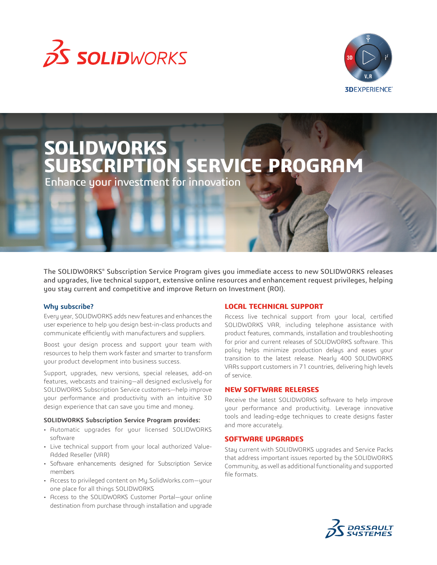



# **SOLIDWORKS SUBSCRIPTION SERVICE PROGRAM**

Enhance your investment for innovation

The SOLIDWORKS® Subscription Service Program gives you immediate access to new SOLIDWORKS releases and upgrades, live technical support, extensive online resources and enhancement request privileges, helping you stay current and competitive and improve Return on Investment (ROI).

## **Why subscribe?**

Every year, SOLIDWORKS adds new features and enhances the user experience to help you design best-in-class products and communicate efficiently with manufacturers and suppliers.

Boost your design process and support your team with resources to help them work faster and smarter to transform your product development into business success.

Support, upgrades, new versions, special releases, add-on features, webcasts and training—all designed exclusively for SOLIDWORKS Subscription Service customers—help improve your performance and productivity with an intuitive 3D design experience that can save you time and money.

## **SOLIDWORKS Subscription Service Program provides:**

- Automatic upgrades for your licensed SOLIDWORKS software
- Live technical support from your local authorized Value-Added Reseller (VAR)
- Software enhancements designed for Subscription Service members
- Access to privileged content on My.SolidWorks.com—your one place for all things SOLIDWORKS
- Access to the SOLIDWORKS Customer Portal—your online destination from purchase through installation and upgrade

# **LOCAL TECHNICAL SUPPORT**

Access live technical support from your local, certified SOLIDWORKS VAR, including telephone assistance with product features, commands, installation and troubleshooting for prior and current releases of SOLIDWORKS software. This policy helps minimize production delays and eases your transition to the latest release. Nearly 400 SOLIDWORKS VARs support customers in 71 countries, delivering high levels of service.

# **NEW SOFTWARE RELEASES**

Receive the latest SOLIDWORKS software to help improve your performance and productivity. Leverage innovative tools and leading-edge techniques to create designs faster and more accurately.

# **SOFTWARE UPGRADES**

Stay current with SOLIDWORKS upgrades and Service Packs that address important issues reported by the SOLIDWORKS Community, as well as additional functionality and supported file formats.